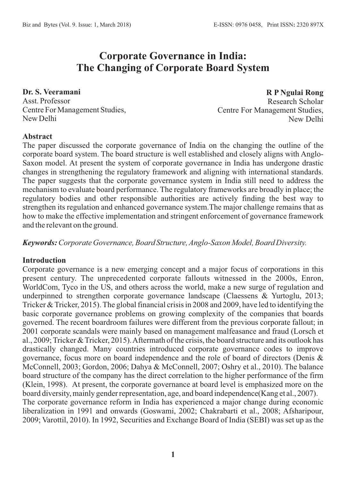# **Corporate Governance in India: The Changing of Corporate Board System**

**Dr. S. Veeramani**  Asst. Professor Centre For Management Studies, New Delhi

**R P Ngulai Rong** Research Scholar Centre For Management Studies, New Delhi

#### **Abstract**

The paper discussed the corporate governance of India on the changing the outline of the corporate board system. The board structure is well established and closely aligns with Anglo-Saxon model. At present the system of corporate governance in India has undergone drastic changes in strengthening the regulatory framework and aligning with international standards. The paper suggests that the corporate governance system in India still need to address the mechanism to evaluate board performance. The regulatory frameworks are broadly in place; the regulatory bodies and other responsible authorities are actively finding the best way to strengthen its regulation and enhanced governance system.The major challenge remains that as how to make the effective implementation and stringent enforcement of governance framework and the relevant on the ground.

*Keywords:Corporate Governance, Board Structure, Anglo-Saxon Model, Board Diversity.*

#### **Introduction**

Corporate governance is a new emerging concept and a major focus of corporations in this present century. The unprecedented corporate fallouts witnessed in the 2000s, Enron, WorldCom, Tyco in the US, and others across the world, make a new surge of regulation and underpinned to strengthen corporate governance landscape (Claessens & Yurtoglu, 2013; Tricker & Tricker, 2015). The global financial crisis in 2008 and 2009, have led to identifying the basic corporate governance problems on growing complexity of the companies that boards governed. The recent boardroom failures were different from the previous corporate fallout; in 2001 corporate scandals were mainly based on management malfeasance and fraud (Lorsch et al., 2009; Tricker & Tricker, 2015). Aftermath of the crisis, the board structure and its outlook has drastically changed. Many countries introduced corporate governance codes to improve governance, focus more on board independence and the role of board of directors (Denis & McConnell, 2003; Gordon, 2006; Dahya & McConnell, 2007; Oshry et al., 2010). The balance board structure of the company has the direct correlation to the higher performance of the firm (Klein, 1998). At present, the corporate governance at board level is emphasized more on the board diversity, mainly gender representation, age, and board independence(Kang et al., 2007). The corporate governance reform in India has experienced a major change during economic liberalization in 1991 and onwards (Goswami, 2002; Chakrabarti et al., 2008; Afsharipour, 2009; Varottil, 2010). In 1992, Securities and Exchange Board of India (SEBI) was set up as the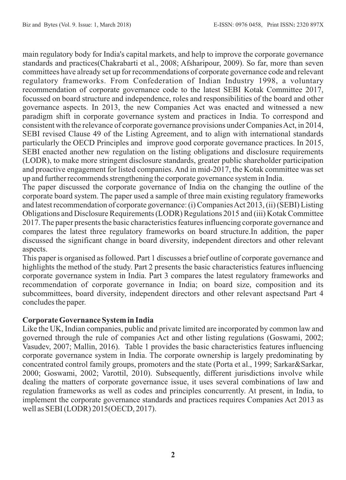main regulatory body for India's capital markets, and help to improve the corporate governance standards and practices(Chakrabarti et al., 2008; Afsharipour, 2009). So far, more than seven committees have already set up for recommendations of corporate governance code and relevant regulatory frameworks. From Confederation of Indian Industry 1998, a voluntary recommendation of corporate governance code to the latest SEBI Kotak Committee 2017, focussed on board structure and independence, roles and responsibilities of the board and other governance aspects. In 2013, the new Companies Act was enacted and witnessed a new paradigm shift in corporate governance system and practices in India. To correspond and consistent with the relevance of corporate governance provisions under Companies Act, in 2014, SEBI revised Clause 49 of the Listing Agreement, and to align with international standards particularly the OECD Principles and improve good corporate governance practices. In 2015, SEBI enacted another new regulation on the listing obligations and disclosure requirements (LODR), to make more stringent disclosure standards, greater public shareholder participation and proactive engagement for listed companies. And in mid-2017, the Kotak committee was set up and further recommends strengthening the corporate governance system in India.

The paper discussed the corporate governance of India on the changing the outline of the corporate board system. The paper used a sample of three main existing regulatory frameworks and latest recommendation of corporate governance: (i) Companies Act 2013, (ii) (SEBI) Listing Obligations and Disclosure Requirements (LODR) Regulations 2015 and (iii) Kotak Committee 2017. The paper presents the basic characteristics features influencing corporate governance and compares the latest three regulatory frameworks on board structure.In addition, the paper discussed the significant change in board diversity, independent directors and other relevant aspects.

This paper is organised as followed. Part 1 discusses a brief outline of corporate governance and highlights the method of the study. Part 2 presents the basic characteristics features influencing corporate governance system in India. Part 3 compares the latest regulatory frameworks and recommendation of corporate governance in India; on board size, composition and its subcommittees, board diversity, independent directors and other relevant aspectsand Part 4 concludes the paper.

## **Corporate Governance System in India**

Like the UK, Indian companies, public and private limited are incorporated by common law and governed through the rule of companies Act and other listing regulations (Goswami, 2002; Vasudev, 2007; Mallin, 2016). Table 1 provides the basic characteristics features influencing corporate governance system in India. The corporate ownership is largely predominating by concentrated control family groups, promoters and the state (Porta et al., 1999; Sarkar&Sarkar, 2000; Goswami, 2002; Varottil, 2010). Subsequently, different jurisdictions involve while dealing the matters of corporate governance issue, it uses several combinations of law and regulation frameworks as well as codes and principles concurrently. At present, in India, to implement the corporate governance standards and practices requires Companies Act 2013 as well as SEBI (LODR) 2015(OECD, 2017).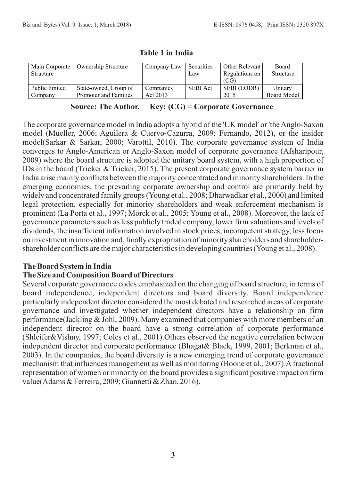| Main Corporate<br>Structure | <b>Ownership Structure</b> | Company Law | Securities<br>Law | Other Relevant<br>Regulations on<br>(CG) | <b>Board</b><br>Structure |
|-----------------------------|----------------------------|-------------|-------------------|------------------------------------------|---------------------------|
| Public limited              | State-owned, Group of      | Companies   | <b>SEBI</b> Act   | SEBI (LODR)                              | Unitary                   |
| Company                     | Promoter and Families      | Act 2013    |                   | 2015                                     | <b>Board Model</b>        |

#### **Table 1 in India**

# **Source: The Author. Key: (CG) = Corporate Governance**

The corporate governance model in India adopts a hybrid of the 'UK model' or 'the Anglo-Saxon model (Mueller, 2006; Aguilera & Cuervo-Cazurra, 2009; Fernando, 2012), or the insider model(Sarkar & Sarkar, 2000; Varottil, 2010). The corporate governance system of India converges to Anglo-American or Anglo-Saxon model of corporate governance (Afsharipour, 2009) where the board structure is adopted the unitary board system, with a high proportion of IDs in the board (Tricker & Tricker, 2015). The present corporate governance system barrier in India arise mainly conflicts between the majority concentrated and minority shareholders. In the emerging economies, the prevailing corporate ownership and control are primarily held by widely and concentrated family groups (Young et al., 2008; Dharwadkar et al., 2000) and limited legal protection, especially for minority shareholders and weak enforcement mechanism is prominent (La Porta et al., 1997; Morck et al., 2005; Young et al., 2008). Moreover, the lack of governance parameters such as less publicly traded company, lower firm valuations and levels of dividends, the insufficient information involved in stock prices, incompetent strategy, less focus on investment in innovation and, finally expropriation of minority shareholders and shareholdershareholder conflicts are the major characteristics in developing countries (Young et al., 2008).

## **The Board System in India**

## **The Size and Composition Board of Directors**

Several corporate governance codes emphasized on the changing of board structure, in terms of board independence, independent directors and board diversity. Board independence particularly independent director considered the most debated and researched areas of corporate governance and investigated whether independent directors have a relationship on firm performance(Jackling & Johl, 2009). Many examined that companies with more members of an independent director on the board have a strong correlation of corporate performance (Shleifer&Vishny, 1997; Coles et al., 2001).Others observed the negative correlation between independent director and corporate performance (Bhagat& Black, 1999, 2001; Berkman et al., 2003). In the companies, the board diversity is a new emerging trend of corporate governance mechanism that influences management as well as monitoring (Boone et al., 2007).A fractional representation of women or minority on the board provides a significant positive impact on firm value(Adams & Ferreira, 2009; Giannetti & Zhao, 2016).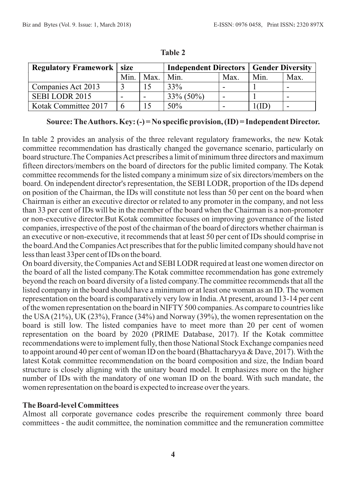| <b>Regulatory Framework   size</b> |      |      | <b>Independent Directors</b> | <b>Gender Diversity</b> |      |      |
|------------------------------------|------|------|------------------------------|-------------------------|------|------|
|                                    | Min. | Max. | Min.                         | Max.                    | Min. | Max. |
| Companies Act 2013                 |      |      | 33%                          |                         |      | -    |
| SEBILODR 2015                      |      |      | $33\% (50\%)$                |                         |      | -    |
| Kotak Committee 2017               | 6    |      | 50%                          |                         |      | -    |

**Table 2**

**Source: The Authors. Key: (-) = No specific provision, (ID) = Independent Director.**

In table 2 provides an analysis of the three relevant regulatory frameworks, the new Kotak committee recommendation has drastically changed the governance scenario, particularly on board structure.The Companies Act prescribes a limit of minimum three directors and maximum fifteen directors/members on the board of directors for the public limited company. The Kotak committee recommends for the listed company a minimum size of six directors/members on the board. On independent director's representation, the SEBI LODR, proportion of the IDs depend on position of the Chairman, the IDs will constitute not less than 50 per cent on the board when Chairman is either an executive director or related to any promoter in the company, and not less than 33 per cent of IDs will be in the member of the board when the Chairman is a non-promoter or non-executive director.But Kotak committee focuses on improving governance of the listed companies, irrespective of the post of the chairman of the board of directors whether chairman is an executive or non-executive, it recommends that at least 50 per cent of IDs should comprise in the board.And the Companies Act prescribes that for the public limited company should have not less than least 33per cent of IDs on the board.

On board diversity, the Companies Act and SEBI LODR required at least one women director on the board of all the listed company.The Kotak committee recommendation has gone extremely beyond the reach on board diversity of a listed company.The committee recommends that all the listed company in the board should have a minimum or at least one woman as an ID. The women representation on the board is comparatively very low in India. At present, around 13-14 per cent of the women representation on the board in NIFTY 500 companies. As compare to countries like the USA(21%), UK (23%), France (34%) and Norway (39%), the women representation on the board is still low. The listed companies have to meet more than 20 per cent of women representation on the board by 2020 (PRIME Database, 2017). If the Kotak committee recommendations were to implement fully, then those National Stock Exchange companies need to appoint around 40 per cent of woman ID on the board (Bhattacharyya & Dave, 2017). With the latest Kotak committee recommendation on the board composition and size, the Indian board structure is closely aligning with the unitary board model. It emphasizes more on the higher number of IDs with the mandatory of one woman ID on the board. With such mandate, the women representation on the board is expected to increase over the years.

#### **The Board-level Committees**

Almost all corporate governance codes prescribe the requirement commonly three board committees - the audit committee, the nomination committee and the remuneration committee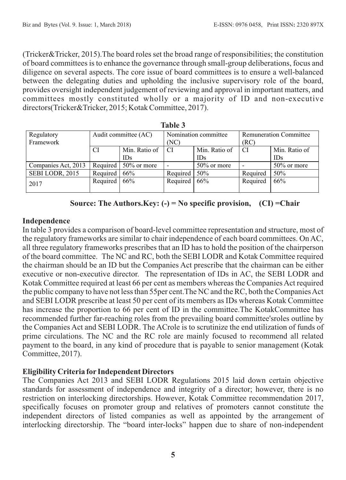(Tricker&Tricker, 2015).The board roles set the broad range of responsibilities; the constitution of board committees is to enhance the governance through small-group deliberations, focus and diligence on several aspects. The core issue of board committees is to ensure a well-balanced between the delegating duties and upholding the inclusive supervisory role of the board, provides oversight independent judgement of reviewing and approval in important matters, and committees mostly constituted wholly or a majority of ID and non-executive directors(Tricker&Tricker, 2015; Kotak Committee, 2017).

| Regulatory          |          | Audit committee (AC)   |          | Nomination committee | <b>Remuneration Committee</b> |                |  |  |
|---------------------|----------|------------------------|----------|----------------------|-------------------------------|----------------|--|--|
| Framework           |          |                        | (NC)     |                      | (RC)                          |                |  |  |
|                     | CI       | Min. Ratio of          | CI       | Min. Ratio of        | CI.                           | Min. Ratio of  |  |  |
|                     |          | <b>IDs</b>             |          | <b>IDs</b>           |                               | IDs            |  |  |
| Companies Act, 2013 |          | Required   50% or more |          | $50\%$ or more       |                               | $50\%$ or more |  |  |
| SEBI LODR, 2015     | Required | 66%                    | Required | $50\%$               | Required                      | 50%            |  |  |
| 2017                | Required | 66%                    | Required | 66%                  | Required                      | 66%            |  |  |

**Table 3**

|  |  |  |  |  |  |  | Source: The Authors.Key: $(-)$ = No specific provision, $(CI)$ = Chair |  |  |  |
|--|--|--|--|--|--|--|------------------------------------------------------------------------|--|--|--|
|--|--|--|--|--|--|--|------------------------------------------------------------------------|--|--|--|

## **Independence**

In table 3 provides a comparison of board-level committee representation and structure, most of the regulatory frameworks are similar to chair independence of each board committees. On AC, all three regulatory frameworks prescribes that an ID has to hold the position of the chairperson of the board committee. The NC and RC, both the SEBI LODR and Kotak Committee required the chairman should be an ID but the Companies Act prescribe that the chairman can be either executive or non-executive director. The representation of IDs in AC, the SEBI LODR and Kotak Committee required at least 66 per cent as members whereas the Companies Act required the public company to have not less than 55per cent.The NC and the RC, both the Companies Act and SEBI LODR prescribe at least 50 per cent of its members as IDs whereas Kotak Committee has increase the proportion to 66 per cent of ID in the committee.The KotakCommittee has recommended further far-reaching roles from the prevailing board committee'sroles outline by the Companies Act and SEBI LODR. The ACrole is to scrutinize the end utilization of funds of prime circulations. The NC and the RC role are mainly focused to recommend all related payment to the board, in any kind of procedure that is payable to senior management (Kotak Committee, 2017).

## **Eligibility Criteria for Independent Directors**

The Companies Act 2013 and SEBI LODR Regulations 2015 laid down certain objective standards for assessment of independence and integrity of a director; however, there is no restriction on interlocking directorships. However, Kotak Committee recommendation 2017, specifically focuses on promoter group and relatives of promoters cannot constitute the independent directors of listed companies as well as appointed by the arrangement of interlocking directorship. The "board inter-locks" happen due to share of non-independent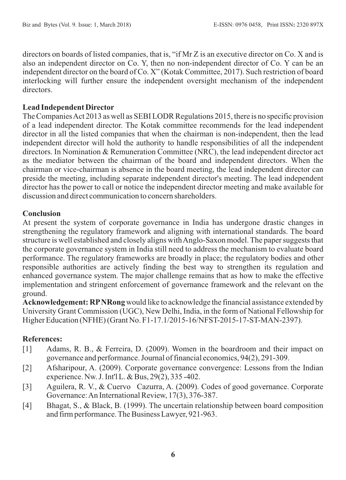directors on boards of listed companies, that is, "if Mr Z is an executive director on Co. X and is also an independent director on Co. Y, then no non-independent director of Co. Y can be an independent director on the board of Co. X" (Kotak Committee, 2017). Such restriction of board interlocking will further ensure the independent oversight mechanism of the independent directors.

## **Lead Independent Director**

The Companies Act 2013 as well as SEBI LODR Regulations 2015, there is no specific provision of a lead independent director. The Kotak committee recommends for the lead independent director in all the listed companies that when the chairman is non-independent, then the lead independent director will hold the authority to handle responsibilities of all the independent directors. In Nomination & Remuneration Committee (NRC), the lead independent director act as the mediator between the chairman of the board and independent directors. When the chairman or vice-chairman is absence in the board meeting, the lead independent director can preside the meeting, including separate independent director's meeting. The lead independent director has the power to call or notice the independent director meeting and make available for discussion and direct communication to concern shareholders.

## **Conclusion**

At present the system of corporate governance in India has undergone drastic changes in strengthening the regulatory framework and aligning with international standards. The board structure is well established and closely aligns with Anglo-Saxon model. The paper suggests that the corporate governance system in India still need to address the mechanism to evaluate board performance. The regulatory frameworks are broadly in place; the regulatory bodies and other responsible authorities are actively finding the best way to strengthen its regulation and enhanced governance system. The major challenge remains that as how to make the effective implementation and stringent enforcement of governance framework and the relevant on the ground.

**Acknowledgement: RPNRong** would like to acknowledge the financial assistance extended by University Grant Commission (UGC), New Delhi, India, in the form of National Fellowship for Higher Education (NFHE) (Grant No. F1-17.1/2015-16/NFST-2015-17-ST-MAN-2397).

# **References:**

- [1] Adams, R. B., & Ferreira, D. (2009). Women in the boardroom and their impact on governance and performance. Journal of financial economics, 94(2), 291-309.
- [2] Afsharipour, A. (2009). Corporate governance convergence: Lessons from the Indian experience. Nw. J. Int'l L. & Bus, 29(2), 335 -402.
- [3] Aguilera, R. V., & Cuervo Cazurra, A. (2009). Codes of good governance. Corporate Governance: An International Review, 17(3), 376-387.
- [4] Bhagat, S., & Black, B. (1999). The uncertain relationship between board composition and firm performance. The Business Lawyer, 921-963.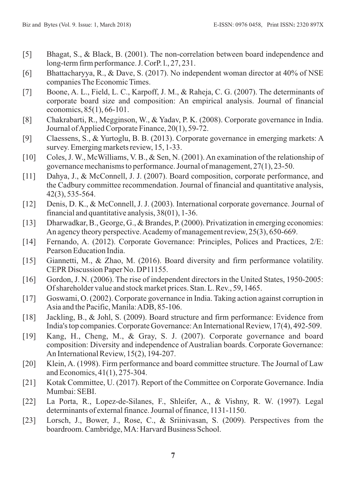- [5] Bhagat, S., & Black, B. (2001). The non-correlation between board independence and long-term firm performance. J. CorP. l., 27, 231.
- [6] Bhattacharyya, R., & Dave, S. (2017). No independent woman director at 40% of NSE companies The Economic Times.
- [7] Boone, A. L., Field, L. C., Karpoff, J. M., & Raheja, C. G. (2007). The determinants of corporate board size and composition: An empirical analysis. Journal of financial economics, 85(1), 66-101.
- [8] Chakrabarti, R., Megginson, W., & Yadav, P. K. (2008). Corporate governance in India. Journal of Applied Corporate Finance, 20(1), 59-72.
- [9] Claessens, S., & Yurtoglu, B. B. (2013). Corporate governance in emerging markets: A survey. Emerging markets review, 15, 1-33.
- [10] Coles, J. W., McWilliams, V. B., & Sen, N. (2001). An examination of the relationship of governance mechanisms to performance. Journal of management, 27(1), 23-50.
- [11] Dahya, J., & McConnell, J. J. (2007). Board composition, corporate performance, and the Cadbury committee recommendation. Journal of financial and quantitative analysis, 42(3), 535-564.
- [12] Denis, D. K., & McConnell, J. J. (2003). International corporate governance. Journal of financial and quantitative analysis, 38(01), 1-36.
- [13] Dharwadkar, B., George, G., & Brandes, P. (2000). Privatization in emerging economies: An agency theory perspective. Academy of management review, 25(3), 650-669.
- [14] Fernando, A. (2012). Corporate Governance: Principles, Polices and Practices, 2/E: Pearson Education India.
- [15] Giannetti, M., & Zhao, M. (2016). Board diversity and firm performance volatility. CEPR Discussion Paper No. DP11155.
- [16] Gordon, J. N. (2006). The rise of independent directors in the United States, 1950-2005: Of shareholder value and stock market prices. Stan. L. Rev., 59, 1465.
- [17] Goswami, O. (2002). Corporate governance in India. Taking action against corruption in Asia and the Pacific, Manila: ADB, 85-106.
- [18] Jackling, B., & Johl, S. (2009). Board structure and firm performance: Evidence from India's top companies. Corporate Governance: An International Review, 17(4), 492-509.
- [19] Kang, H., Cheng, M., & Gray, S. J. (2007). Corporate governance and board composition: Diversity and independence of Australian boards. Corporate Governance: An International Review, 15(2), 194-207.
- [20] Klein, A. (1998). Firm performance and board committee structure. The Journal of Law and Economics, 41(1), 275-304.
- [21] Kotak Committee, U. (2017). Report of the Committee on Corporate Governance. India Mumbai: SEBI.
- [22] La Porta, R., Lopez-de-Silanes, F., Shleifer, A., & Vishny, R. W. (1997). Legal determinants of external finance. Journal of finance, 1131-1150.
- [23] Lorsch, J., Bower, J., Rose, C., & Sriinivasan, S. (2009). Perspectives from the boardroom. Cambridge, MA: Harvard Business School.